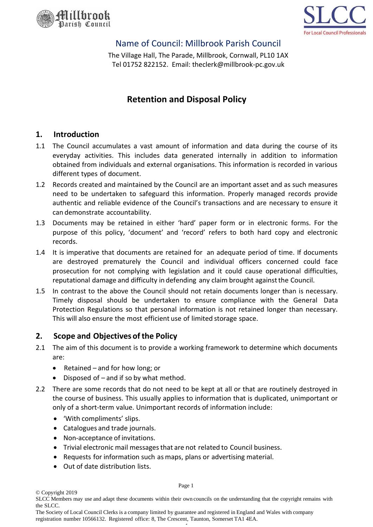



## Name of Council: Millbrook Parish Council

The Village Hall, The Parade, Millbrook, Cornwall, PL10 1AX Tel 01752 822152. Email: theclerk@millbrook-pc.gov.uk

# **Retention and Disposal Policy**

#### **1. Introduction**

- 1.1 The Council accumulates a vast amount of information and data during the course of its everyday activities. This includes data generated internally in addition to information obtained from individuals and external organisations. This information is recorded in various different types of document.
- 1.2 Records created and maintained by the Council are an important asset and as such measures need to be undertaken to safeguard this information. Properly managed records provide authentic and reliable evidence of the Council's transactions and are necessary to ensure it can demonstrate accountability.
- 1.3 Documents may be retained in either 'hard' paper form or in electronic forms. For the purpose of this policy, 'document' and 'record' refers to both hard copy and electronic records.
- 1.4 It is imperative that documents are retained for an adequate period of time. If documents are destroyed prematurely the Council and individual officers concerned could face prosecution for not complying with legislation and it could cause operational difficulties, reputational damage and difficulty in defending any claim brought againstthe Council.
- 1.5 In contrast to the above the Council should not retain documents longer than is necessary. Timely disposal should be undertaken to ensure compliance with the General Data Protection Regulations so that personal information is not retained longer than necessary. This will also ensure the most efficient use of limited storage space.

## **2. Scope and Objectives ofthe Policy**

- 2.1 The aim of this document is to provide a working framework to determine which documents are:
	- Retained and for how long; or
	- Disposed of  $-$  and if so by what method.
- 2.2 There are some records that do not need to be kept at all or that are routinely destroyed in the course of business. This usually applies to information that is duplicated, unimportant or only of a short-term value. Unimportant records of information include:
	- 'With compliments' slips.
	- Catalogues and trade journals.
	- Non-acceptance of invitations.
	- Trivial electronic mail messagesthat are not related to Council business.
	- Requests for information such as maps, plans or advertising material.
	- Out of date distribution lists.

© Copyright 2019

Page 1

SLCC Members may use and adapt these documents within their own councils on the understanding that the copyright remains with the SLCC.

The Society of Local Council Clerks is a company limited by guarantee and registered in England and Wales with company registration number 10566132. Registered office: 8, The Crescent, Taunton, Somerset TA1 4EA.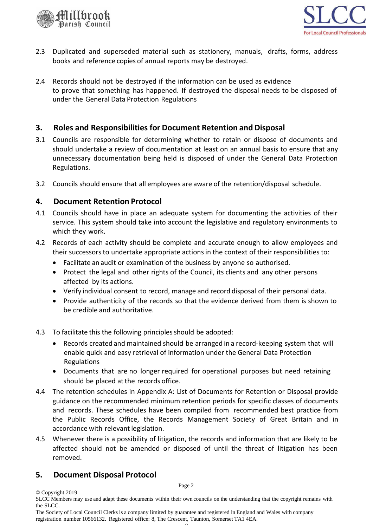



- 2.3 Duplicated and superseded material such as stationery, manuals, drafts, forms, address books and reference copies of annual reports may be destroyed.
- 2.4 Records should not be destroyed if the information can be used as evidence to prove that something has happened. If destroyed the disposal needs to be disposed of under the General Data Protection Regulations

### **3. Roles and Responsibilities for Document Retention and Disposal**

- 3.1 Councils are responsible for determining whether to retain or dispose of documents and should undertake a review of documentation at least on an annual basis to ensure that any unnecessary documentation being held is disposed of under the General Data Protection Regulations.
- 3.2 Councils should ensure that all employees are aware of the retention/disposal schedule.

#### **4. Document Retention Protocol**

- 4.1 Councils should have in place an adequate system for documenting the activities of their service. This system should take into account the legislative and regulatory environments to which they work.
- 4.2 Records of each activity should be complete and accurate enough to allow employees and their successorsto undertake appropriate actionsin the context of their responsibilities to:
	- Facilitate an audit or examination of the business by anyone so authorised.
	- Protect the legal and other rights of the Council, its clients and any other persons affected by its actions.
	- Verify individual consent to record, manage and record disposal of their personal data.
	- Provide authenticity of the records so that the evidence derived from them is shown to be credible and authoritative.
- 4.3 To facilitate this the following principlesshould be adopted:
	- Records created and maintained should be arranged in a record-keeping system that will enable quick and easy retrieval of information under the General Data Protection Regulations
	- Documents that are no longer required for operational purposes but need retaining should be placed at the records office.
- 4.4 The retention schedules in Appendix A: List of Documents for Retention or Disposal provide guidance on the recommended minimum retention periods for specific classes of documents and records. These schedules have been compiled from recommended best practice from the Public Records Office, the Records Management Society of Great Britain and in accordance with relevant legislation.
- 4.5 Whenever there is a possibility of litigation, the records and information that are likely to be affected should not be amended or disposed of until the threat of litigation has been removed.

#### **5. Document Disposal Protocol**

© Copyright 2019

Page 2

SLCC Members may use and adapt these documents within their own councils on the understanding that the copyright remains with the SLCC.

The Society of Local Council Clerks is a company limited by guarantee and registered in England and Wales with company registration number 10566132. Registered office: 8, The Crescent, Taunton, Somerset TA1 4EA.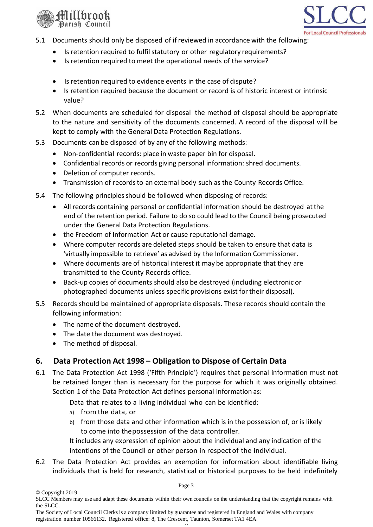



- 5.1 Documents should only be disposed of if reviewed in accordance with the following:
	- Is retention required to fulfil statutory or other regulatory requirements?
	- Is retention required to meet the operational needs of the service?
	- Is retention required to evidence events in the case of dispute?
	- Is retention required because the document or record is of historic interest or intrinsic value?
- 5.2 When documents are scheduled for disposal the method of disposal should be appropriate to the nature and sensitivity of the documents concerned. A record of the disposal will be kept to comply with the General Data Protection Regulations.
- 5.3 Documents can be disposed of by any of the following methods:
	- Non-confidential records: place in waste paper bin for disposal.
	- Confidential records or records giving personal information: shred documents.
	- Deletion of computer records.
	- Transmission of records to an external body such as the County Records Office.
- 5.4 The following principles should be followed when disposing of records:
	- All records containing personal or confidential information should be destroyed atthe end of the retention period. Failure to do so could lead to the Council being prosecuted under the General Data Protection Regulations.
	- the Freedom of Information Act or cause reputational damage.
	- Where computer records are deleted steps should be taken to ensure that data is 'virtually impossible to retrieve' as advised by the Information Commissioner.
	- Where documents are of historical interest it may be appropriate that they are transmitted to the County Records office.
	- Back-up copies of documents should also be destroyed (including electronic or photographed documents unless specific provisions exist for their disposal).
- 5.5 Records should be maintained of appropriate disposals. These records should contain the following information:
	- The name of the document destroyed.
	- The date the document was destroyed.
	- The method of disposal.

## **6. Data Protection Act 1998 – Obligation to Dispose of Certain Data**

6.1 The Data Protection Act 1998 ('Fifth Principle') requires that personal information must not be retained longer than is necessary for the purpose for which it was originally obtained. Section 1 of the Data Protection Act defines personal information as:

Data that relates to a living individual who can be identified:

- a) from the data, or
- b) from those data and other information which is in the possession of, or is likely to come into thepossession of the data controller.

It includes any expression of opinion about the individual and any indication of the intentions of the Council or other person in respect of the individual.

6.2 The Data Protection Act provides an exemption for information about identifiable living individuals that is held for research, statistical or historical purposes to be held indefinitely

Page 3

SLCC Members may use and adapt these documents within their own councils on the understanding that the copyright remains with the SLCC.